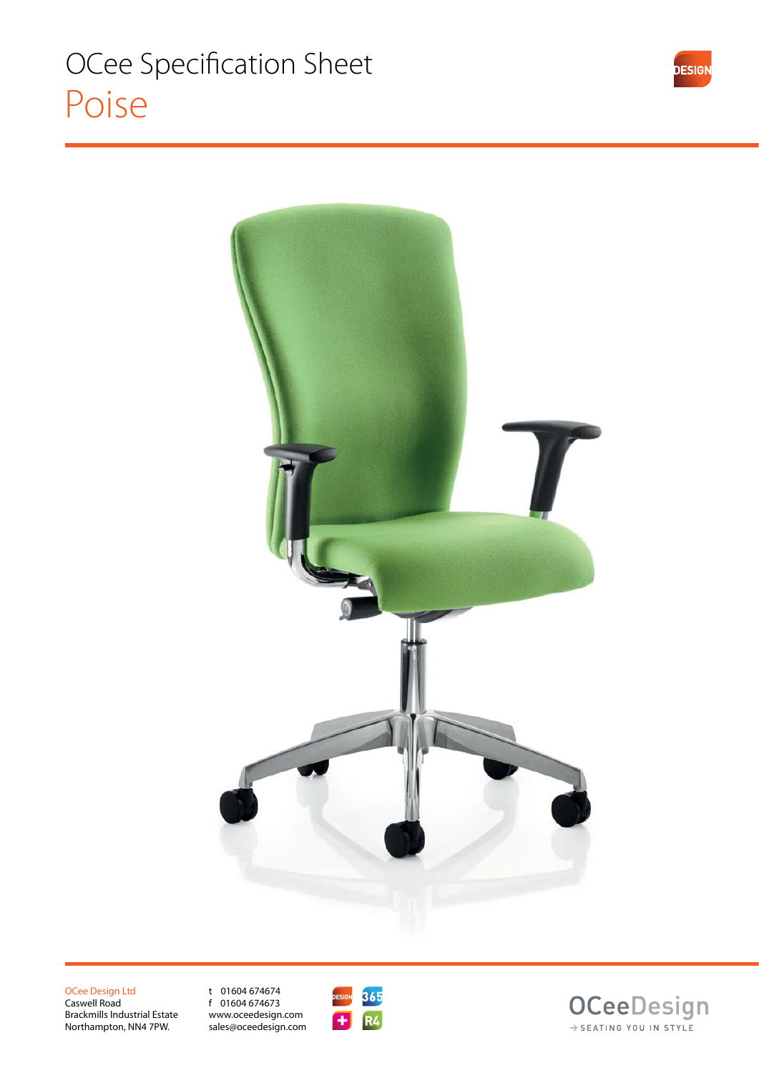

OCee Design Ltd Caswell Road Brackmills Industrial Estate Northampton, NN4 7PW.

t 01604 674674 f 01604 674673 www.oceedesign.com sales@oceedesign.com